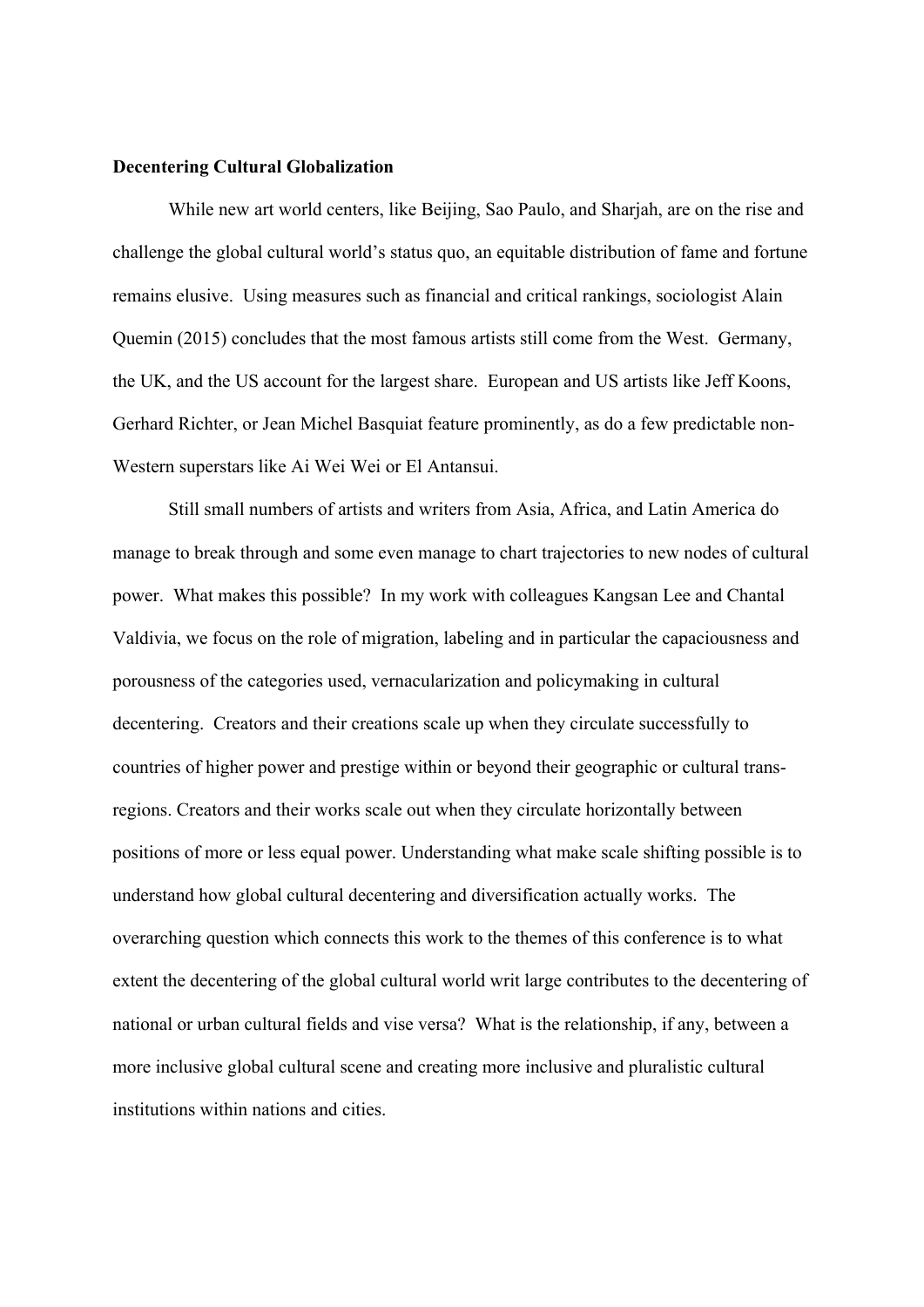## **Decentering Cultural Globalization**

While new art world centers, like Beijing, Sao Paulo, and Sharjah, are on the rise and challenge the global cultural world's status quo, an equitable distribution of fame and fortune remains elusive. Using measures such as financial and critical rankings, sociologist Alain Quemin (2015) concludes that the most famous artists still come from the West. Germany, the UK, and the US account for the largest share. European and US artists like Jeff Koons, Gerhard Richter, or Jean Michel Basquiat feature prominently, as do a few predictable non-Western superstars like Ai Wei Wei or El Antansui.

Still small numbers of artists and writers from Asia, Africa, and Latin America do manage to break through and some even manage to chart trajectories to new nodes of cultural power. What makes this possible? In my work with colleagues Kangsan Lee and Chantal Valdivia, we focus on the role of migration, labeling and in particular the capaciousness and porousness of the categories used, vernacularization and policymaking in cultural decentering. Creators and their creations scale up when they circulate successfully to countries of higher power and prestige within or beyond their geographic or cultural transregions. Creators and their works scale out when they circulate horizontally between positions of more or less equal power. Understanding what make scale shifting possible is to understand how global cultural decentering and diversification actually works. The overarching question which connects this work to the themes of this conference is to what extent the decentering of the global cultural world writ large contributes to the decentering of national or urban cultural fields and vise versa? What is the relationship, if any, between a more inclusive global cultural scene and creating more inclusive and pluralistic cultural institutions within nations and cities.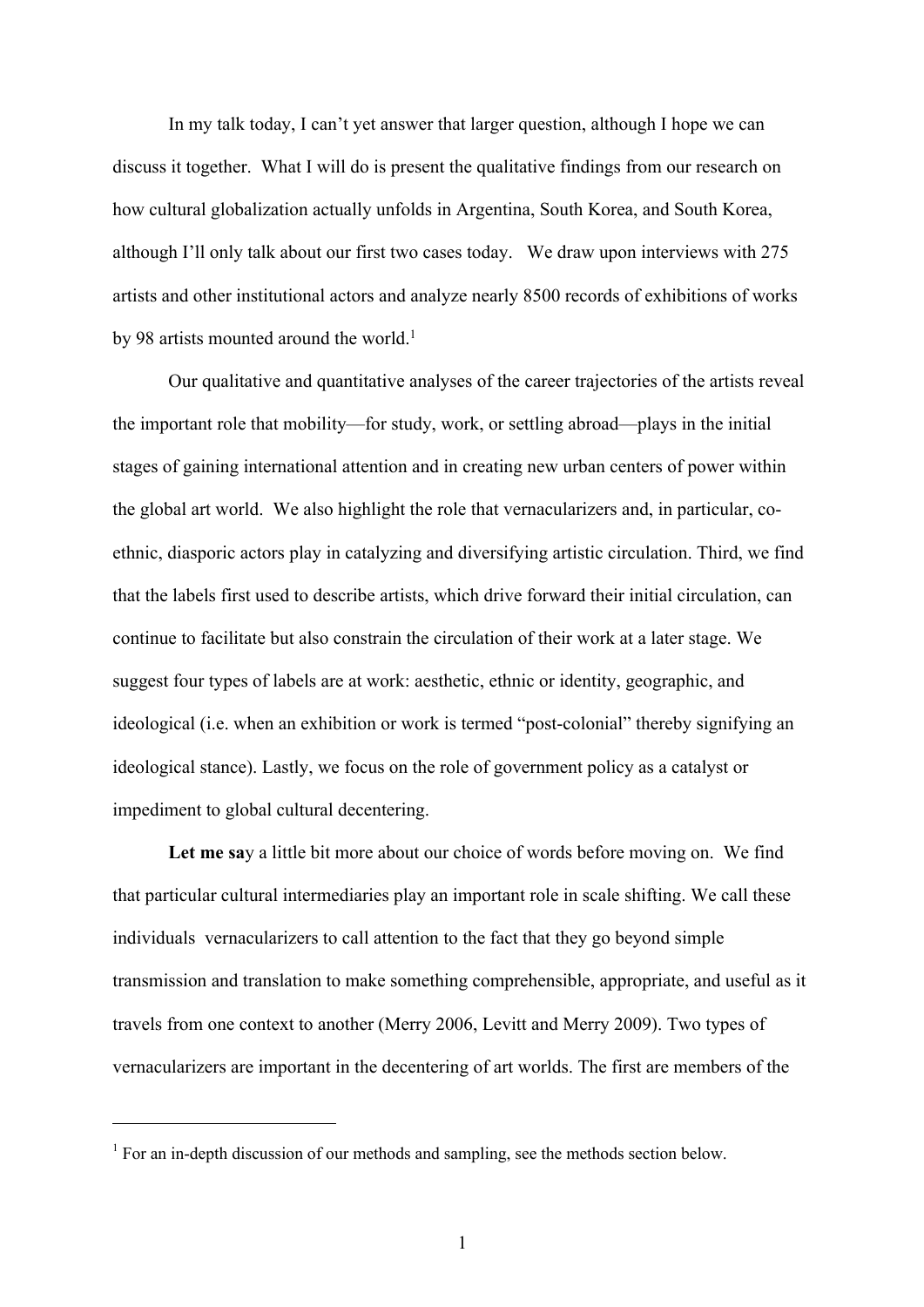In my talk today, I can't yet answer that larger question, although I hope we can discuss it together. What I will do is present the qualitative findings from our research on how cultural globalization actually unfolds in Argentina, South Korea, and South Korea, although I'll only talk about our first two cases today. We draw upon interviews with 275 artists and other institutional actors and analyze nearly 8500 records of exhibitions of works by 98 artists mounted around the world.<sup>1</sup>

Our qualitative and quantitative analyses of the career trajectories of the artists reveal the important role that mobility—for study, work, or settling abroad—plays in the initial stages of gaining international attention and in creating new urban centers of power within the global art world. We also highlight the role that vernacularizers and, in particular, coethnic, diasporic actors play in catalyzing and diversifying artistic circulation. Third, we find that the labels first used to describe artists, which drive forward their initial circulation, can continue to facilitate but also constrain the circulation of their work at a later stage. We suggest four types of labels are at work: aesthetic, ethnic or identity, geographic, and ideological (i.e. when an exhibition or work is termed "post-colonial" thereby signifying an ideological stance). Lastly, we focus on the role of government policy as a catalyst or impediment to global cultural decentering.

**Let me sa**y a little bit more about our choice of words before moving on. We find that particular cultural intermediaries play an important role in scale shifting. We call these individuals vernacularizers to call attention to the fact that they go beyond simple transmission and translation to make something comprehensible, appropriate, and useful as it travels from one context to another (Merry 2006, Levitt and Merry 2009). Two types of vernacularizers are important in the decentering of art worlds. The first are members of the

 $1$  For an in-depth discussion of our methods and sampling, see the methods section below.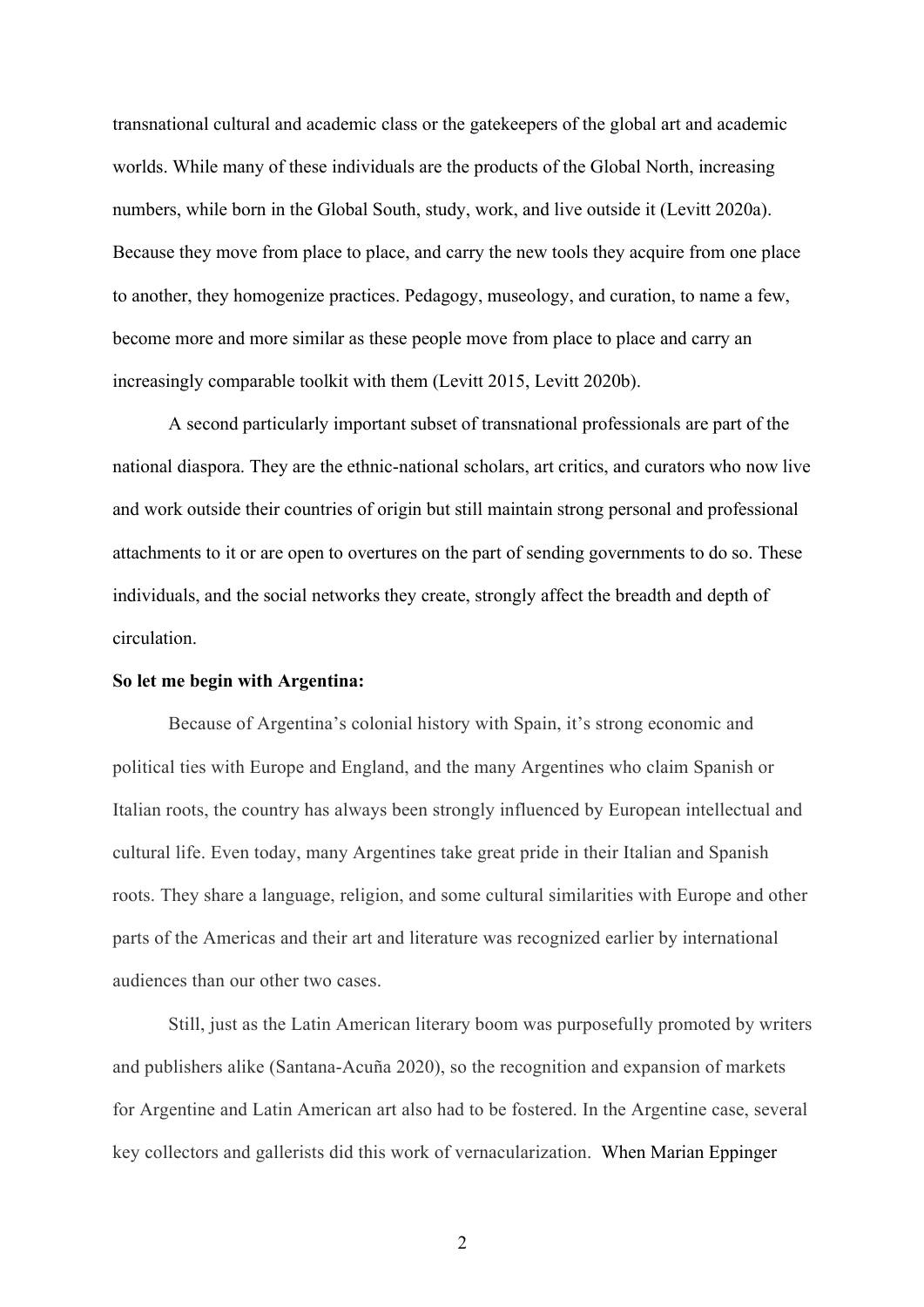transnational cultural and academic class or the gatekeepers of the global art and academic worlds. While many of these individuals are the products of the Global North, increasing numbers, while born in the Global South, study, work, and live outside it (Levitt 2020a). Because they move from place to place, and carry the new tools they acquire from one place to another, they homogenize practices. Pedagogy, museology, and curation, to name a few, become more and more similar as these people move from place to place and carry an increasingly comparable toolkit with them (Levitt 2015, Levitt 2020b).

A second particularly important subset of transnational professionals are part of the national diaspora. They are the ethnic-national scholars, art critics, and curators who now live and work outside their countries of origin but still maintain strong personal and professional attachments to it or are open to overtures on the part of sending governments to do so. These individuals, and the social networks they create, strongly affect the breadth and depth of circulation.

## **So let me begin with Argentina:**

Because of Argentina's colonial history with Spain, it's strong economic and political ties with Europe and England, and the many Argentines who claim Spanish or Italian roots, the country has always been strongly influenced by European intellectual and cultural life. Even today, many Argentines take great pride in their Italian and Spanish roots. They share a language, religion, and some cultural similarities with Europe and other parts of the Americas and their art and literature was recognized earlier by international audiences than our other two cases.

Still, just as the Latin American literary boom was purposefully promoted by writers and publishers alike (Santana-Acuña 2020), so the recognition and expansion of markets for Argentine and Latin American art also had to be fostered. In the Argentine case, several key collectors and gallerists did this work of vernacularization. When Marian Eppinger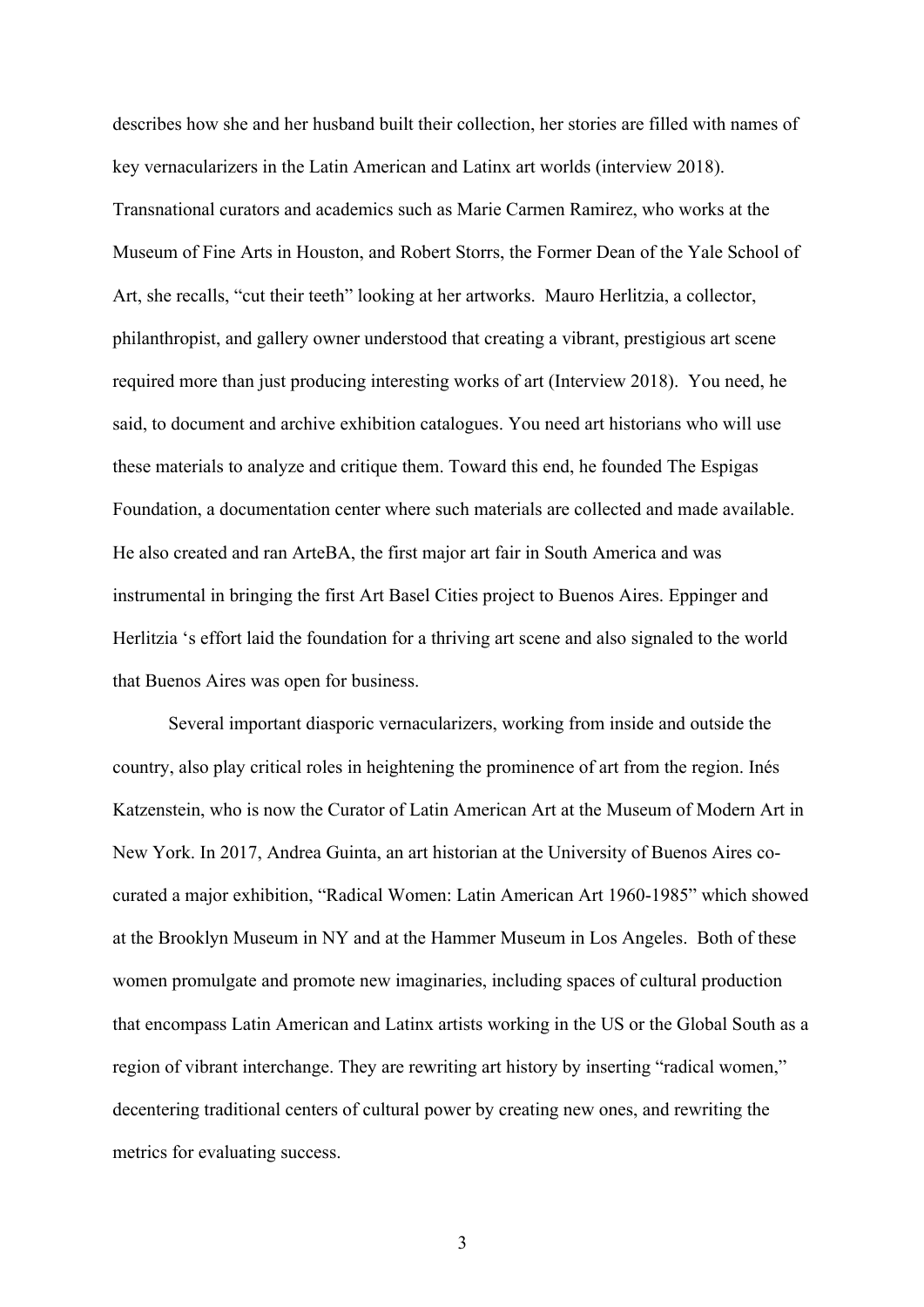describes how she and her husband built their collection, her stories are filled with names of key vernacularizers in the Latin American and Latinx art worlds (interview 2018). Transnational curators and academics such as Marie Carmen Ramirez, who works at the Museum of Fine Arts in Houston, and Robert Storrs, the Former Dean of the Yale School of Art, she recalls, "cut their teeth" looking at her artworks. Mauro Herlitzia, a collector, philanthropist, and gallery owner understood that creating a vibrant, prestigious art scene required more than just producing interesting works of art (Interview 2018). You need, he said, to document and archive exhibition catalogues. You need art historians who will use these materials to analyze and critique them. Toward this end, he founded The Espigas Foundation, a documentation center where such materials are collected and made available. He also created and ran ArteBA, the first major art fair in South America and was instrumental in bringing the first Art Basel Cities project to Buenos Aires. Eppinger and Herlitzia 's effort laid the foundation for a thriving art scene and also signaled to the world that Buenos Aires was open for business.

Several important diasporic vernacularizers, working from inside and outside the country, also play critical roles in heightening the prominence of art from the region. Inés Katzenstein, who is now the Curator of Latin American Art at the Museum of Modern Art in New York. In 2017, Andrea Guinta, an art historian at the University of Buenos Aires cocurated a major exhibition, "Radical Women: Latin American Art 1960-1985" which showed at the Brooklyn Museum in NY and at the Hammer Museum in Los Angeles. Both of these women promulgate and promote new imaginaries, including spaces of cultural production that encompass Latin American and Latinx artists working in the US or the Global South as a region of vibrant interchange. They are rewriting art history by inserting "radical women," decentering traditional centers of cultural power by creating new ones, and rewriting the metrics for evaluating success.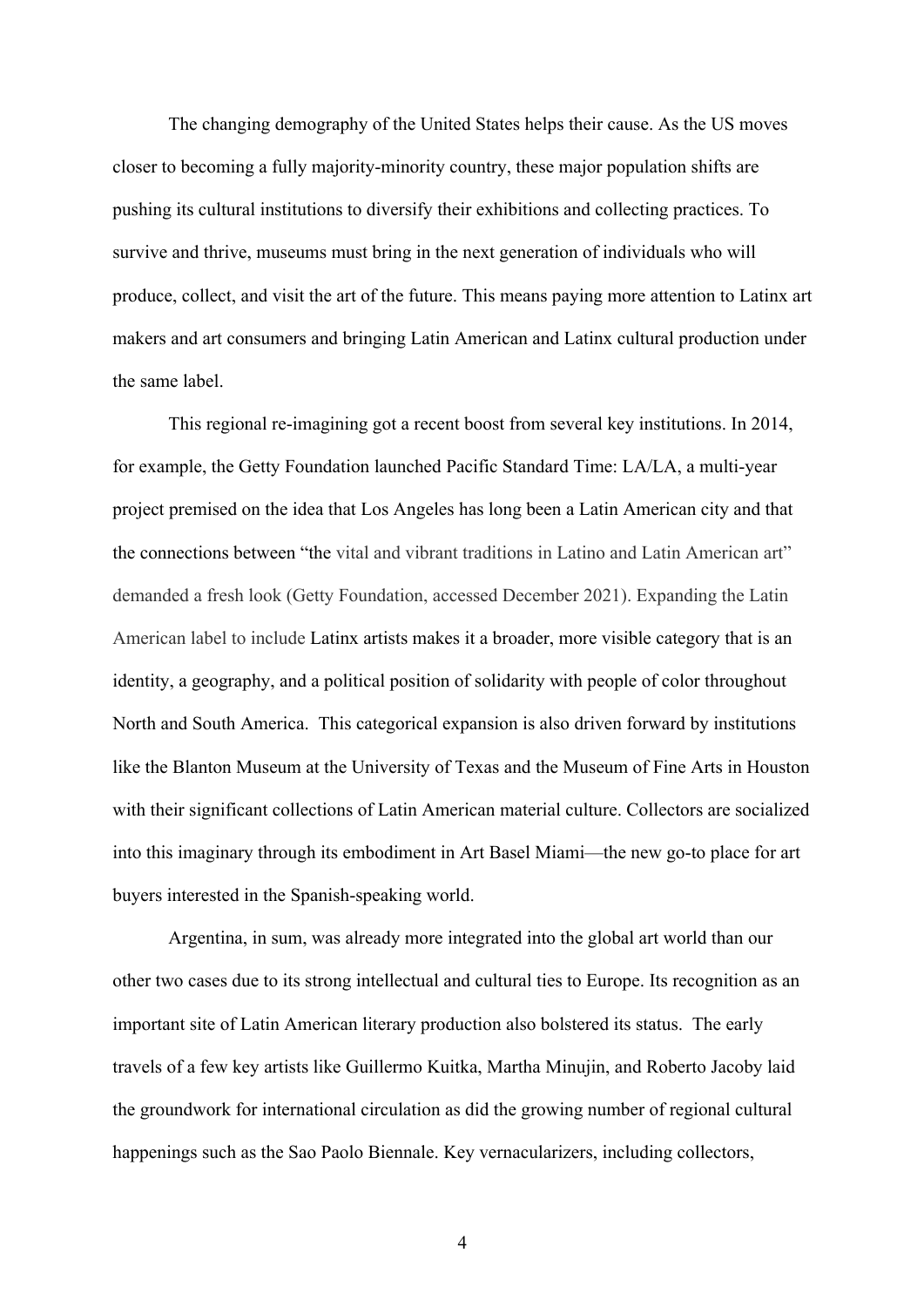The changing demography of the United States helps their cause. As the US moves closer to becoming a fully majority-minority country, these major population shifts are pushing its cultural institutions to diversify their exhibitions and collecting practices. To survive and thrive, museums must bring in the next generation of individuals who will produce, collect, and visit the art of the future. This means paying more attention to Latinx art makers and art consumers and bringing Latin American and Latinx cultural production under the same label.

This regional re-imagining got a recent boost from several key institutions. In 2014, for example, the Getty Foundation launched Pacific Standard Time: LA/LA, a multi-year project premised on the idea that Los Angeles has long been a Latin American city and that the connections between "the vital and vibrant traditions in Latino and Latin American art" demanded a fresh look (Getty Foundation, accessed December 2021). Expanding the Latin American label to include Latinx artists makes it a broader, more visible category that is an identity, a geography, and a political position of solidarity with people of color throughout North and South America. This categorical expansion is also driven forward by institutions like the Blanton Museum at the University of Texas and the Museum of Fine Arts in Houston with their significant collections of Latin American material culture. Collectors are socialized into this imaginary through its embodiment in Art Basel Miami—the new go-to place for art buyers interested in the Spanish-speaking world.

Argentina, in sum, was already more integrated into the global art world than our other two cases due to its strong intellectual and cultural ties to Europe. Its recognition as an important site of Latin American literary production also bolstered its status. The early travels of a few key artists like Guillermo Kuitka, Martha Minujin, and Roberto Jacoby laid the groundwork for international circulation as did the growing number of regional cultural happenings such as the Sao Paolo Biennale. Key vernacularizers, including collectors,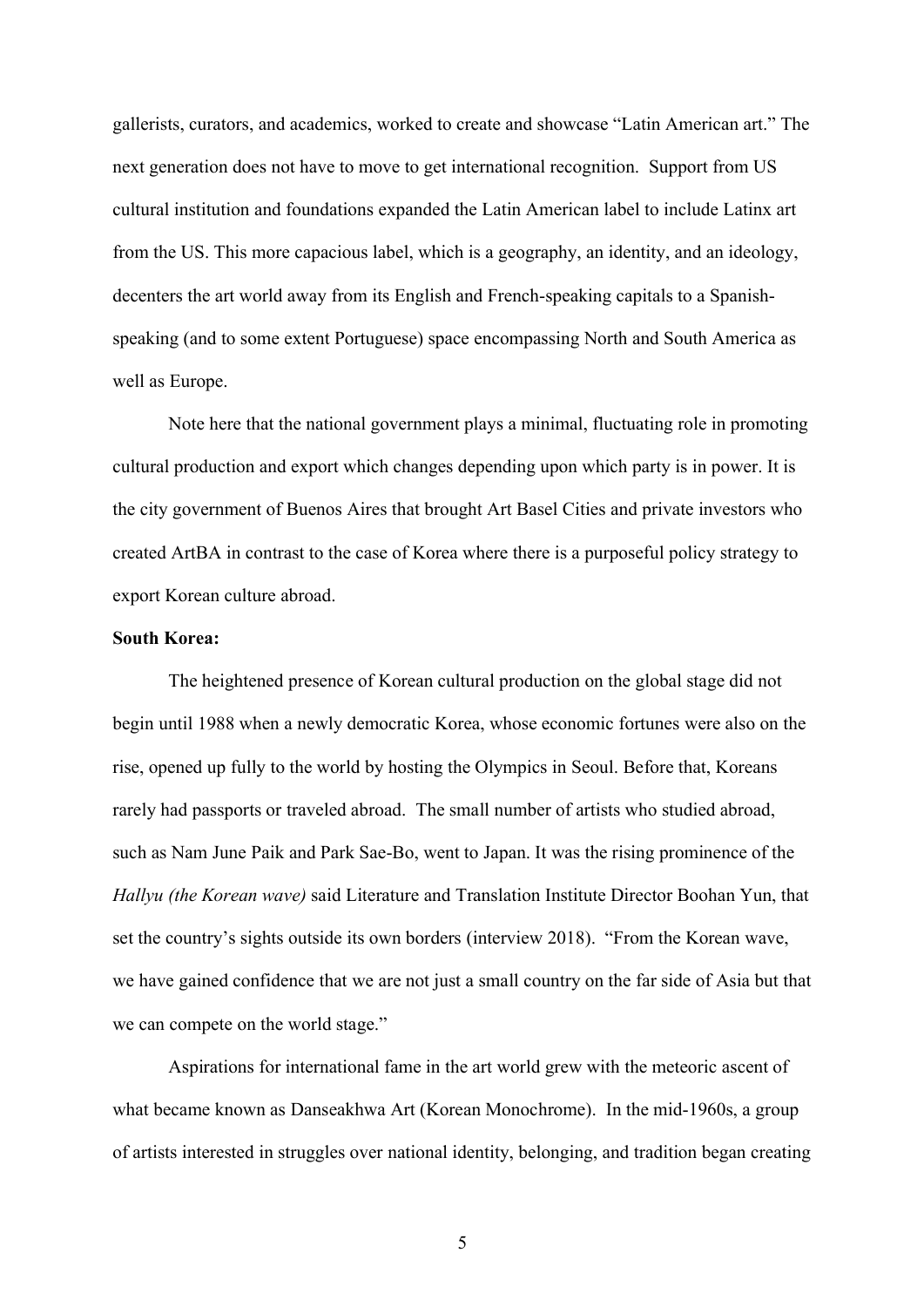gallerists, curators, and academics, worked to create and showcase "Latin American art." The next generation does not have to move to get international recognition. Support from US cultural institution and foundations expanded the Latin American label to include Latinx art from the US. This more capacious label, which is a geography, an identity, and an ideology, decenters the art world away from its English and French-speaking capitals to a Spanishspeaking (and to some extent Portuguese) space encompassing North and South America as well as Europe.

Note here that the national government plays a minimal, fluctuating role in promoting cultural production and export which changes depending upon which party is in power. It is the city government of Buenos Aires that brought Art Basel Cities and private investors who created ArtBA in contrast to the case of Korea where there is a purposeful policy strategy to export Korean culture abroad.

## **South Korea:**

The heightened presence of Korean cultural production on the global stage did not begin until 1988 when a newly democratic Korea, whose economic fortunes were also on the rise, opened up fully to the world by hosting the Olympics in Seoul. Before that, Koreans rarely had passports or traveled abroad. The small number of artists who studied abroad, such as Nam June Paik and Park Sae-Bo, went to Japan. It was the rising prominence of the *Hallyu (the Korean wave)* said Literature and Translation Institute Director Boohan Yun, that set the country's sights outside its own borders (interview 2018). "From the Korean wave, we have gained confidence that we are not just a small country on the far side of Asia but that we can compete on the world stage."

Aspirations for international fame in the art world grew with the meteoric ascent of what became known as Danseakhwa Art (Korean Monochrome). In the mid-1960s, a group of artists interested in struggles over national identity, belonging, and tradition began creating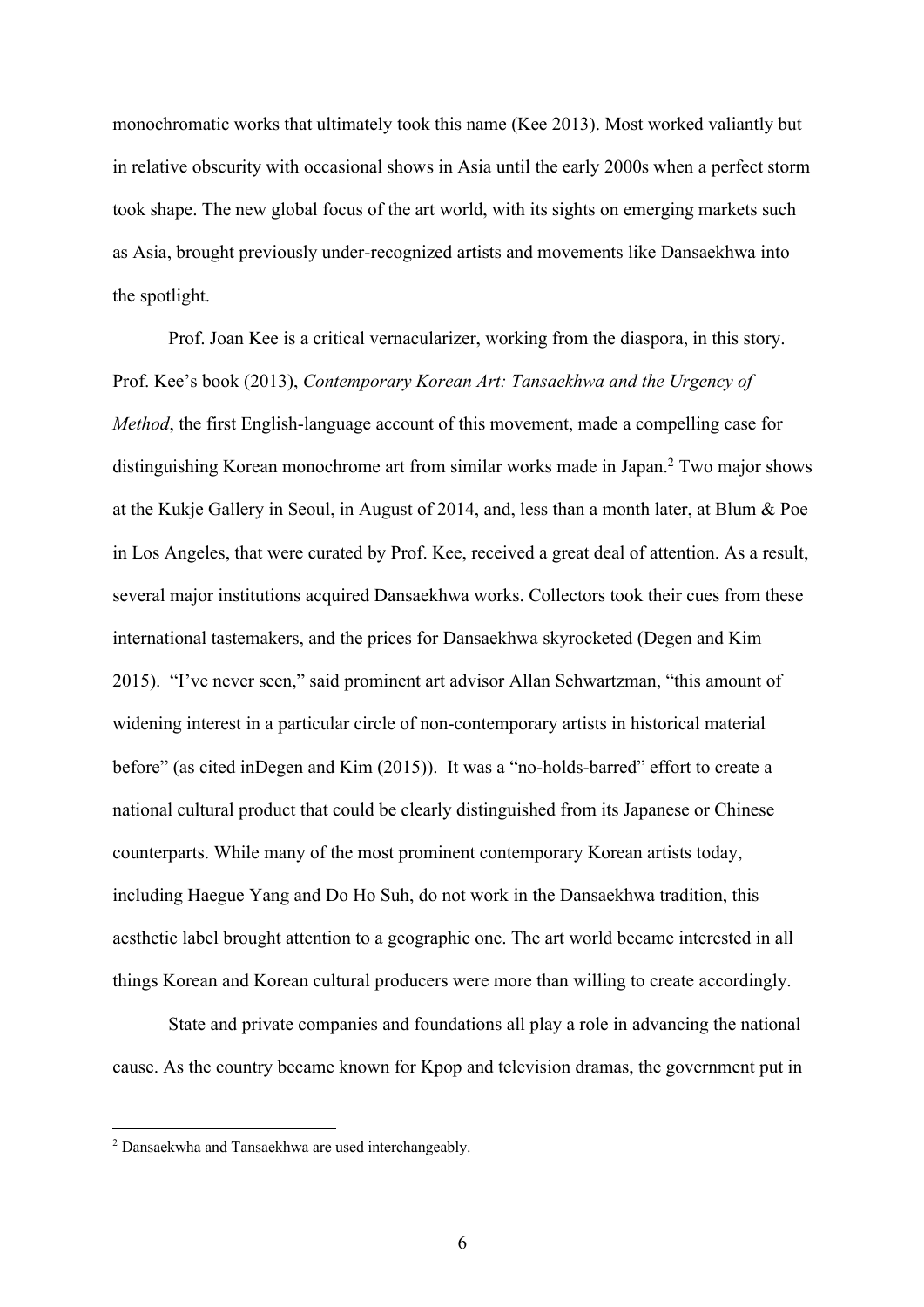monochromatic works that ultimately took this name (Kee 2013). Most worked valiantly but in relative obscurity with occasional shows in Asia until the early 2000s when a perfect storm took shape. The new global focus of the art world, with its sights on emerging markets such as Asia, brought previously under-recognized artists and movements like Dansaekhwa into the spotlight.

Prof. Joan Kee is a critical vernacularizer, working from the diaspora, in this story. Prof. Kee's book (2013), *Contemporary Korean Art: Tansaekhwa and the Urgency of Method*, the first English-language account of this movement, made a compelling case for distinguishing Korean monochrome art from similar works made in Japan.2 Two major shows at the Kukje Gallery in Seoul, in August of 2014, and, less than a month later, at Blum & Poe in Los Angeles, that were curated by Prof. Kee, received a great deal of attention. As a result, several major institutions acquired Dansaekhwa works. Collectors took their cues from these international tastemakers, and the prices for Dansaekhwa skyrocketed (Degen and Kim 2015). "I've never seen," said prominent art advisor Allan Schwartzman, "this amount of widening interest in a particular circle of non-contemporary artists in historical material before" (as cited inDegen and Kim (2015)). It was a "no-holds-barred" effort to create a national cultural product that could be clearly distinguished from its Japanese or Chinese counterparts. While many of the most prominent contemporary Korean artists today, including Haegue Yang and Do Ho Suh, do not work in the Dansaekhwa tradition, this aesthetic label brought attention to a geographic one. The art world became interested in all things Korean and Korean cultural producers were more than willing to create accordingly.

State and private companies and foundations all play a role in advancing the national cause. As the country became known for Kpop and television dramas, the government put in

<sup>&</sup>lt;sup>2</sup> Dansaekwha and Tansaekhwa are used interchangeably.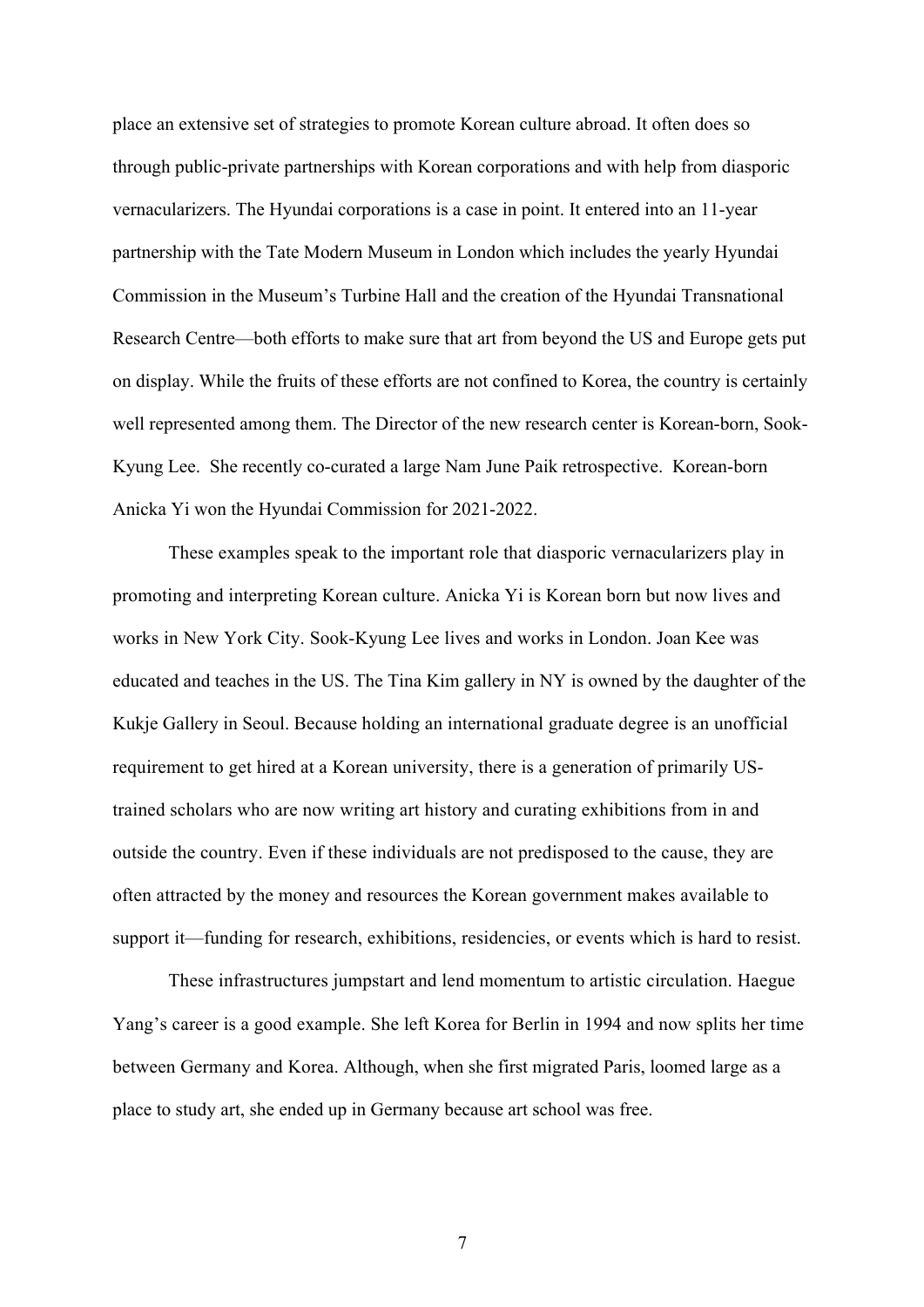place an extensive set of strategies to promote Korean culture abroad. It often does so through public-private partnerships with Korean corporations and with help from diasporic vernacularizers. The Hyundai corporations is a case in point. It entered into an 11-year partnership with the Tate Modern Museum in London which includes the yearly Hyundai Commission in the Museum's Turbine Hall and the creation of the Hyundai Transnational Research Centre—both efforts to make sure that art from beyond the US and Europe gets put on display. While the fruits of these efforts are not confined to Korea, the country is certainly well represented among them. The Director of the new research center is Korean-born, Sook-Kyung Lee. She recently co-curated a large Nam June Paik retrospective. Korean-born Anicka Yi won the Hyundai Commission for 2021-2022.

These examples speak to the important role that diasporic vernacularizers play in promoting and interpreting Korean culture. Anicka Yi is Korean born but now lives and works in New York City. Sook-Kyung Lee lives and works in London. Joan Kee was educated and teaches in the US. The Tina Kim gallery in NY is owned by the daughter of the Kukje Gallery in Seoul. Because holding an international graduate degree is an unofficial requirement to get hired at a Korean university, there is a generation of primarily UStrained scholars who are now writing art history and curating exhibitions from in and outside the country. Even if these individuals are not predisposed to the cause, they are often attracted by the money and resources the Korean government makes available to support it—funding for research, exhibitions, residencies, or events which is hard to resist.

These infrastructures jumpstart and lend momentum to artistic circulation. Haegue Yang's career is a good example. She left Korea for Berlin in 1994 and now splits her time between Germany and Korea. Although, when she first migrated Paris, loomed large as a place to study art, she ended up in Germany because art school was free.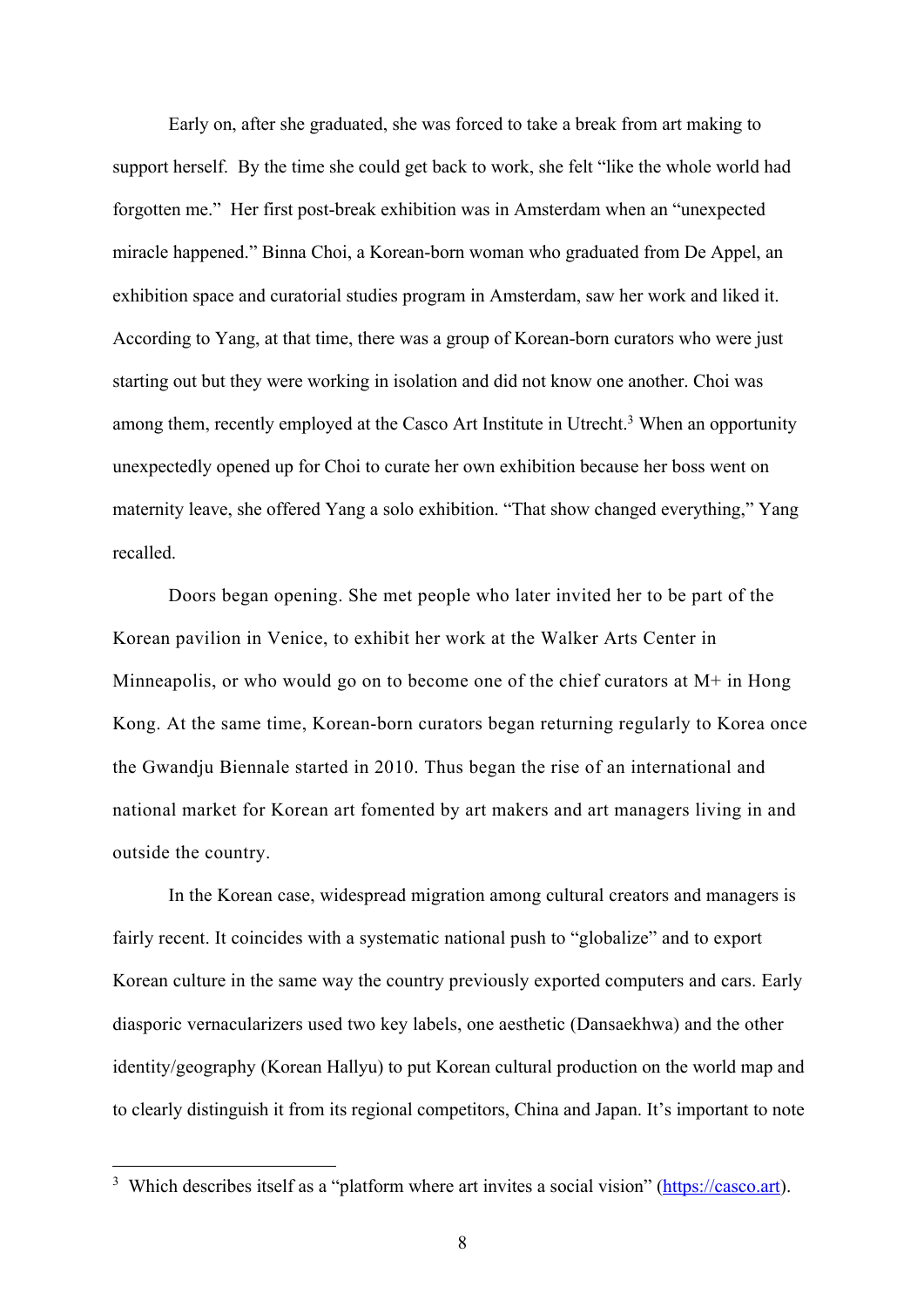Early on, after she graduated, she was forced to take a break from art making to support herself. By the time she could get back to work, she felt "like the whole world had forgotten me." Her first post-break exhibition was in Amsterdam when an "unexpected miracle happened." Binna Choi, a Korean-born woman who graduated from De Appel, an exhibition space and curatorial studies program in Amsterdam, saw her work and liked it. According to Yang, at that time, there was a group of Korean-born curators who were just starting out but they were working in isolation and did not know one another. Choi was among them, recently employed at the Casco Art Institute in Utrecht.<sup>3</sup> When an opportunity unexpectedly opened up for Choi to curate her own exhibition because her boss went on maternity leave, she offered Yang a solo exhibition. "That show changed everything," Yang recalled.

Doors began opening. She met people who later invited her to be part of the Korean pavilion in Venice, to exhibit her work at the Walker Arts Center in Minneapolis, or who would go on to become one of the chief curators at  $M^+$  in Hong Kong. At the same time, Korean-born curators began returning regularly to Korea once the Gwandju Biennale started in 2010. Thus began the rise of an international and national market for Korean art fomented by art makers and art managers living in and outside the country.

In the Korean case, widespread migration among cultural creators and managers is fairly recent. It coincides with a systematic national push to "globalize" and to export Korean culture in the same way the country previously exported computers and cars. Early diasporic vernacularizers used two key labels, one aesthetic (Dansaekhwa) and the other identity/geography (Korean Hallyu) to put Korean cultural production on the world map and to clearly distinguish it from its regional competitors, China and Japan. It's important to note

<sup>&</sup>lt;sup>3</sup> Which describes itself as a "platform where art invites a social vision" (https://casco.art).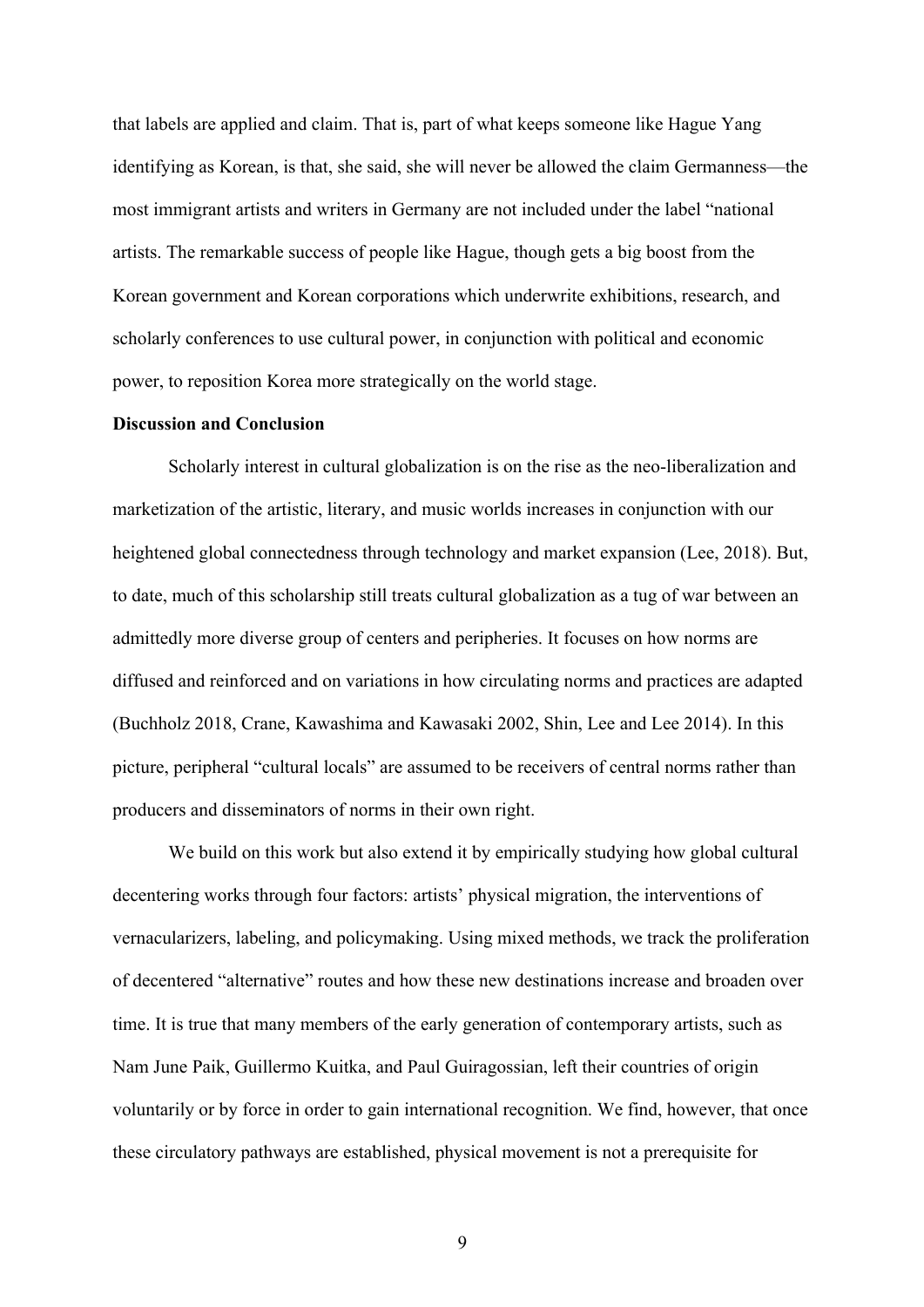that labels are applied and claim. That is, part of what keeps someone like Hague Yang identifying as Korean, is that, she said, she will never be allowed the claim Germanness—the most immigrant artists and writers in Germany are not included under the label "national artists. The remarkable success of people like Hague, though gets a big boost from the Korean government and Korean corporations which underwrite exhibitions, research, and scholarly conferences to use cultural power, in conjunction with political and economic power, to reposition Korea more strategically on the world stage.

## **Discussion and Conclusion**

Scholarly interest in cultural globalization is on the rise as the neo-liberalization and marketization of the artistic, literary, and music worlds increases in conjunction with our heightened global connectedness through technology and market expansion (Lee, 2018). But, to date, much of this scholarship still treats cultural globalization as a tug of war between an admittedly more diverse group of centers and peripheries. It focuses on how norms are diffused and reinforced and on variations in how circulating norms and practices are adapted (Buchholz 2018, Crane, Kawashima and Kawasaki 2002, Shin, Lee and Lee 2014). In this picture, peripheral "cultural locals" are assumed to be receivers of central norms rather than producers and disseminators of norms in their own right.

We build on this work but also extend it by empirically studying how global cultural decentering works through four factors: artists' physical migration, the interventions of vernacularizers, labeling, and policymaking. Using mixed methods, we track the proliferation of decentered "alternative" routes and how these new destinations increase and broaden over time. It is true that many members of the early generation of contemporary artists, such as Nam June Paik, Guillermo Kuitka, and Paul Guiragossian, left their countries of origin voluntarily or by force in order to gain international recognition. We find, however, that once these circulatory pathways are established, physical movement is not a prerequisite for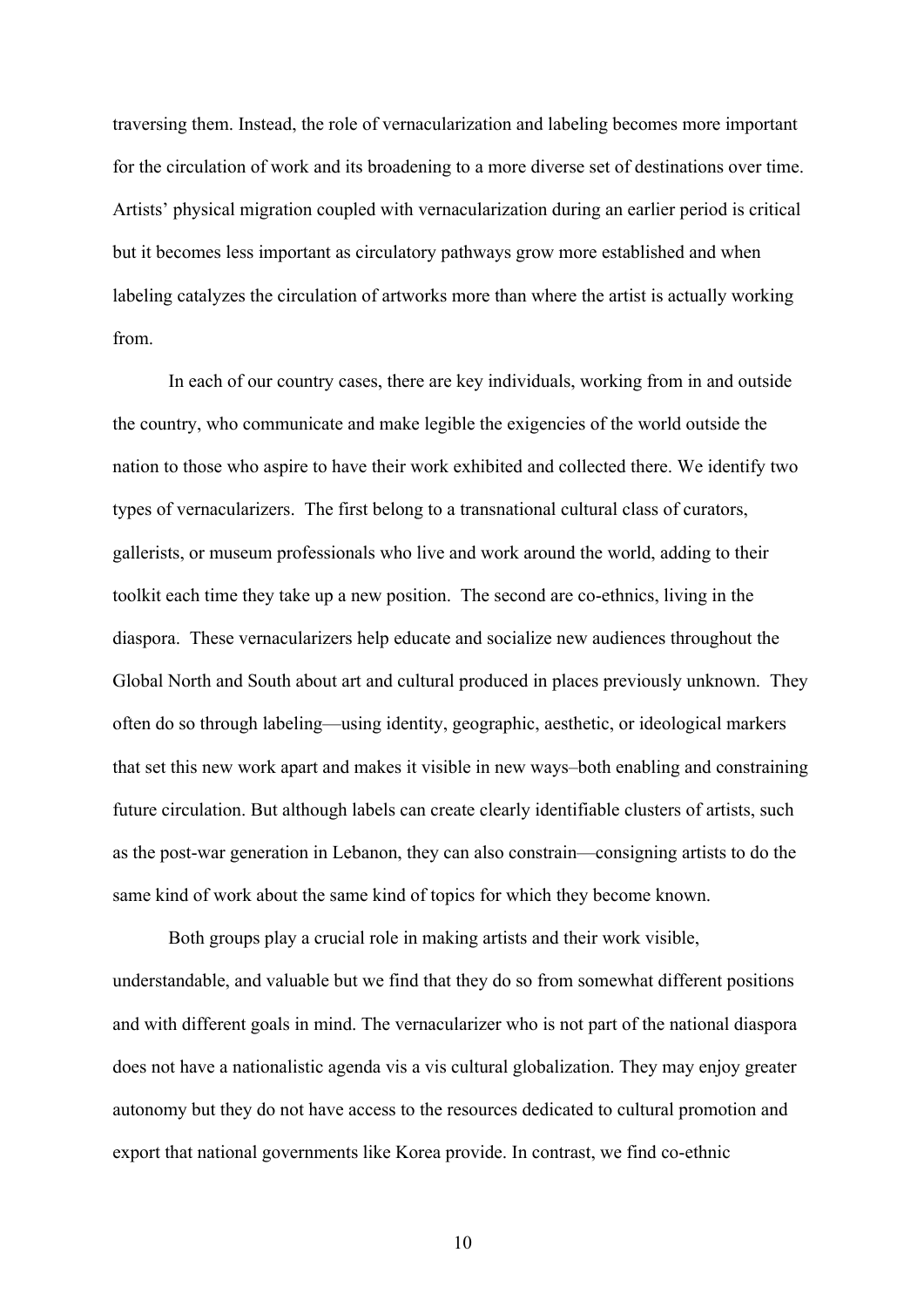traversing them. Instead, the role of vernacularization and labeling becomes more important for the circulation of work and its broadening to a more diverse set of destinations over time. Artists' physical migration coupled with vernacularization during an earlier period is critical but it becomes less important as circulatory pathways grow more established and when labeling catalyzes the circulation of artworks more than where the artist is actually working from.

In each of our country cases, there are key individuals, working from in and outside the country, who communicate and make legible the exigencies of the world outside the nation to those who aspire to have their work exhibited and collected there. We identify two types of vernacularizers. The first belong to a transnational cultural class of curators, gallerists, or museum professionals who live and work around the world, adding to their toolkit each time they take up a new position. The second are co-ethnics, living in the diaspora. These vernacularizers help educate and socialize new audiences throughout the Global North and South about art and cultural produced in places previously unknown. They often do so through labeling—using identity, geographic, aesthetic, or ideological markers that set this new work apart and makes it visible in new ways–both enabling and constraining future circulation. But although labels can create clearly identifiable clusters of artists, such as the post-war generation in Lebanon, they can also constrain—consigning artists to do the same kind of work about the same kind of topics for which they become known.

Both groups play a crucial role in making artists and their work visible, understandable, and valuable but we find that they do so from somewhat different positions and with different goals in mind. The vernacularizer who is not part of the national diaspora does not have a nationalistic agenda vis a vis cultural globalization. They may enjoy greater autonomy but they do not have access to the resources dedicated to cultural promotion and export that national governments like Korea provide. In contrast, we find co-ethnic